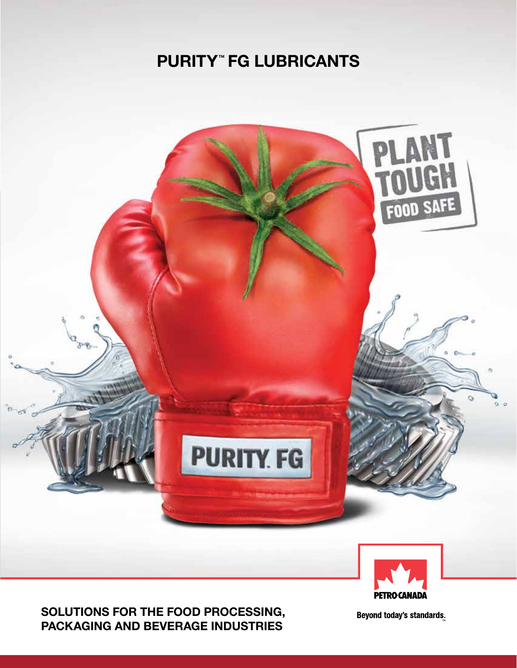### PURITY™ FG LUBRICANTS





Beyond today's standards.

**PETRO CANADA**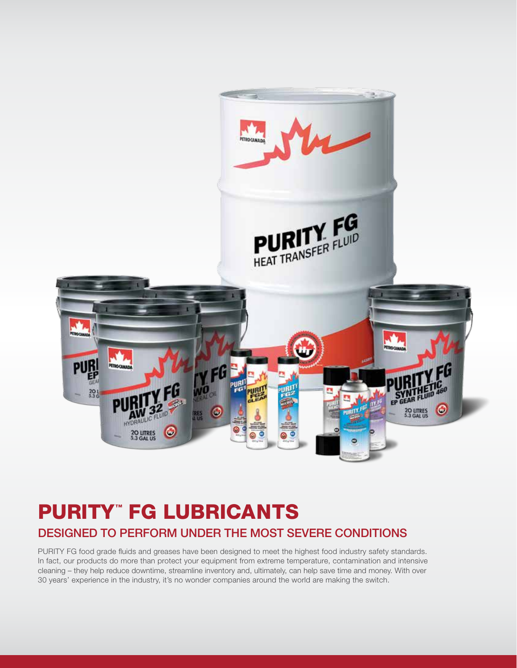

## PURITY™ FG LUBRICANTS DESIGNED TO PERFORM UNDER THE MOST SEVERE CONDITIONS

PURITY FG food grade fluids and greases have been designed to meet the highest food industry safety standards. In fact, our products do more than protect your equipment from extreme temperature, contamination and intensive cleaning – they help reduce downtime, streamline inventory and, ultimately, can help save time and money. With over 30 years' experience in the industry, it's no wonder companies around the world are making the switch.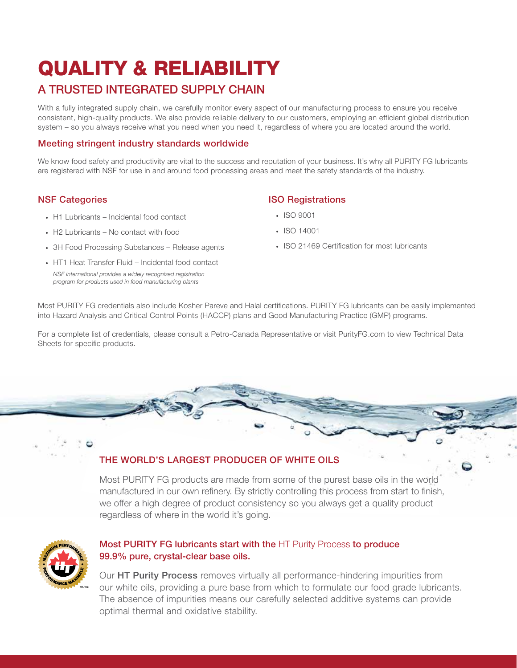# QUALITY & RELIABILITY

### A TRUSTED INTEGRATED SUPPLY CHAIN

With a fully integrated supply chain, we carefully monitor every aspect of our manufacturing process to ensure you receive consistent, high-quality products. We also provide reliable delivery to our customers, employing an efficient global distribution system – so you always receive what you need when you need it, regardless of where you are located around the world.

#### Meeting stringent industry standards worldwide

We know food safety and productivity are vital to the success and reputation of your business. It's why all PURITY FG lubricants are registered with NSF for use in and around food processing areas and meet the safety standards of the industry.

#### NSF Categories

- H1 Lubricants Incidental food contact
- H2 Lubricants No contact with food
- 3H Food Processing Substances Release agents
- HT1 Heat Transfer Fluid Incidental food contact *NSF International provides a widely recognized registration program for products used in food manufacturing plants*

#### ISO Registrations

- ISO 9001
- • ISO 14001
- ISO 21469 Certification for most lubricants

Most PURITY FG credentials also include Kosher Pareve and Halal certifications. PURITY FG lubricants can be easily implemented into Hazard Analysis and Critical Control Points (HACCP) plans and Good Manufacturing Practice (GMP) programs.

For a complete list of credentials, please consult a Petro-Canada Representative or visit PurityFG.com to view Technical Data Sheets for specific products.

#### THE WORLD'S LARGEST PRODUCER OF WHITE OILS

Most PURITY FG products are made from some of the purest base oils in the world manufactured in our own refinery. By strictly controlling this process from start to finish, we offer a high degree of product consistency so you always get a quality product regardless of where in the world it's going.



#### Most PURITY FG lubricants start with the HT Purity Process to produce 99.9% pure, crystal-clear base oils.

Our HT Purity Process removes virtually all performance-hindering impurities from our white oils, providing a pure base from which to formulate our food grade lubricants. The absence of impurities means our carefully selected additive systems can provide optimal thermal and oxidative stability.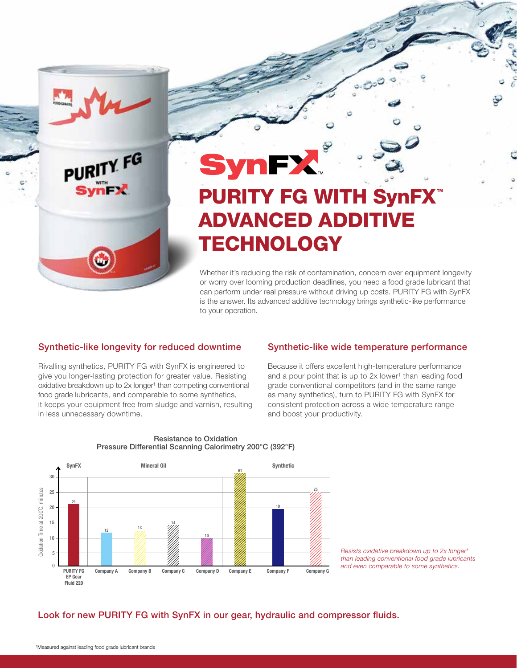

PURITY FG

# **Syn** PURITY FG WITH SynFX ADVANCED ADDITIVE **TECHNOLOGY**

Whether it's reducing the risk of contamination, concern over equipment longevity or worry over looming production deadlines, you need a food grade lubricant that can perform under real pressure without driving up costs. PURITY FG with SynFX is the answer. Its advanced additive technology brings synthetic-like performance to your operation.

#### Synthetic-like longevity for reduced downtime

Rivalling synthetics, PURITY FG with SynFX is engineered to give you longer-lasting protection for greater value. Resisting oxidative breakdown up to 2x longer† than competing conventional food grade lubricants, and comparable to some synthetics, it keeps your equipment free from sludge and varnish, resulting in less unnecessary downtime.

#### Synthetic-like wide temperature performance

Because it offers excellent high-temperature performance and a pour point that is up to 2x lower† than leading food grade conventional competitors (and in the same range as many synthetics), turn to PURITY FG with SynFX for consistent protection across a wide temperature range and boost your productivity.



#### Resistance to Oxidation Pressure Differential Scanning Calorimetry 200°C (392°F)

*Resists oxidative breakdown up to 2x longer† than leading conventional food grade lubricants and even comparable to some synthetics.*

#### Look for new PURITY FG with SynFX in our gear, hydraulic and compressor fluids.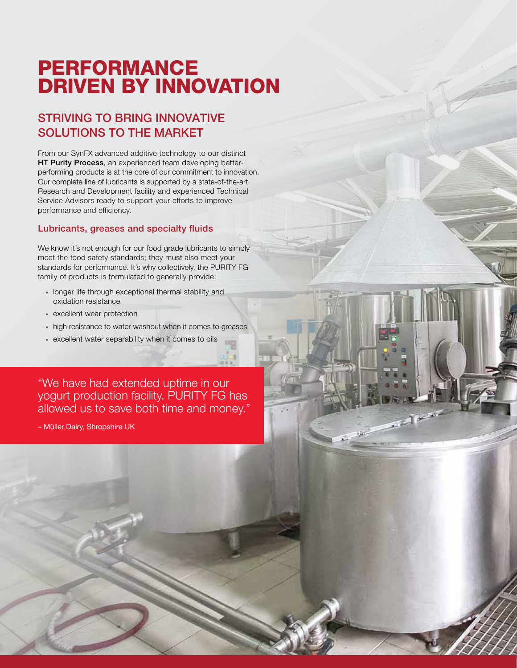## PERFORMANCE DRIVEN BY INNOVATION

### STRIVING TO BRING INNOVATIVE SOLUTIONS TO THE MARKET

From our SynFX advanced additive technology to our distinct HT Purity Process, an experienced team developing betterperforming products is at the core of our commitment to innovation. Our complete line of lubricants is supported by a state-of-the-art Research and Development facility and experienced Technical Service Advisors ready to support your efforts to improve performance and efficiency.

#### Lubricants, greases and specialty fluids

We know it's not enough for our food grade lubricants to simply meet the food safety standards; they must also meet your standards for performance. It's why collectively, the PURITY FG family of products is formulated to generally provide:

- longer life through exceptional thermal stability and oxidation resistance
- • excellent wear protection
- high resistance to water washout when it comes to greases
- • excellent water separability when it comes to oils

"We have had extended uptime in our yogurt production facility. PURITY FG has allowed us to save both time and money."

– Müller Dairy, Shropshire UK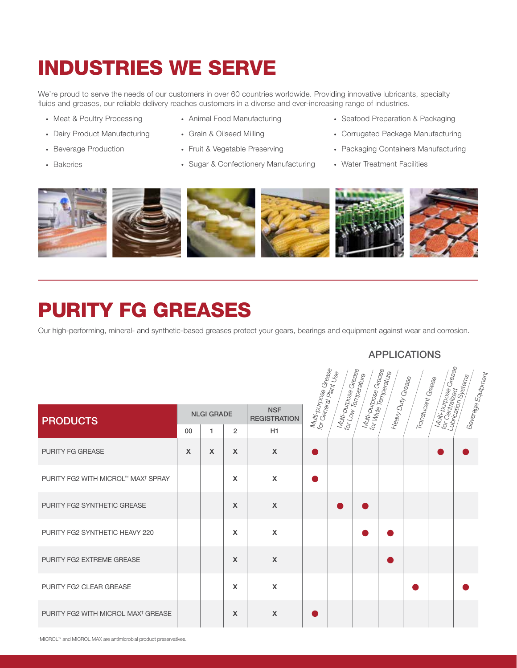# INDUSTRIES WE SERVE

We're proud to serve the needs of our customers in over 60 countries worldwide. Providing innovative lubricants, specialty fluids and greases, our reliable delivery reaches customers in a diverse and ever-increasing range of industries.

- Meat & Poultry Processing
- Dairy Product Manufacturing
- • Beverage Production
- • Bakeries
- • Animal Food Manufacturing
- • Grain & Oilseed Milling
- Fruit & Vegetable Preserving
- Sugar & Confectionery Manufacturing
- Seafood Preparation & Packaging
- • Corrugated Package Manufacturing
- Packaging Containers Manufacturing
- • Water Treatment Facilities



## PURITY FG GREASES

Our high-performing, mineral- and synthetic-based greases protect your gears, bearings and equipment against wear and corrosion.

### APPLICATIONS

|                                                |                   |                           |                                   |                           | Multi-punpose Grease<br>for General Plant Use | Multi-purpose Grease<br>for Low Temperaturese | Multi-punpose Grease<br>for Wide Temperatures | Heary Duty Grease | Translucent Grease | Multi purpose Grease<br>for Gentralized Grease<br>Lubrication Systems | Beverage Equipm <sub>ent</sub> |
|------------------------------------------------|-------------------|---------------------------|-----------------------------------|---------------------------|-----------------------------------------------|-----------------------------------------------|-----------------------------------------------|-------------------|--------------------|-----------------------------------------------------------------------|--------------------------------|
| <b>PRODUCTS</b>                                | <b>NLGI GRADE</b> |                           | <b>NSF</b><br><b>REGISTRATION</b> |                           |                                               |                                               |                                               |                   |                    |                                                                       |                                |
|                                                | 00                | 1                         | $\overline{2}$                    | H1                        |                                               |                                               |                                               |                   |                    |                                                                       |                                |
| <b>PURITY FG GREASE</b>                        | $\mathsf{x}$      | $\boldsymbol{\mathsf{X}}$ | $\boldsymbol{\mathsf{X}}$         | $\boldsymbol{\mathsf{X}}$ |                                               |                                               |                                               |                   |                    |                                                                       |                                |
| PURITY FG2 WITH MICROL™ MAX <sup>†</sup> SPRAY |                   |                           | X                                 | $\boldsymbol{\mathsf{X}}$ |                                               |                                               |                                               |                   |                    |                                                                       |                                |
| PURITY FG2 SYNTHETIC GREASE                    |                   |                           | $\mathsf{x}$                      | $\boldsymbol{\mathsf{X}}$ |                                               |                                               |                                               |                   |                    |                                                                       |                                |
| PURITY FG2 SYNTHETIC HEAVY 220                 |                   |                           | $\mathbf x$                       | $\mathsf{x}$              |                                               |                                               |                                               |                   |                    |                                                                       |                                |
| PURITY FG2 EXTREME GREASE                      |                   |                           | $\boldsymbol{\mathsf{x}}$         | $\mathsf{x}$              |                                               |                                               |                                               |                   |                    |                                                                       |                                |
| <b>PURITY FG2 CLEAR GREASE</b>                 |                   |                           | $\mathbf x$                       | $\mathsf{x}$              |                                               |                                               |                                               |                   |                    |                                                                       |                                |
| PURITY FG2 WITH MICROL MAX <sup>†</sup> GREASE |                   |                           | $\mathbf{x}$                      | $\boldsymbol{\mathsf{X}}$ |                                               |                                               |                                               |                   |                    |                                                                       |                                |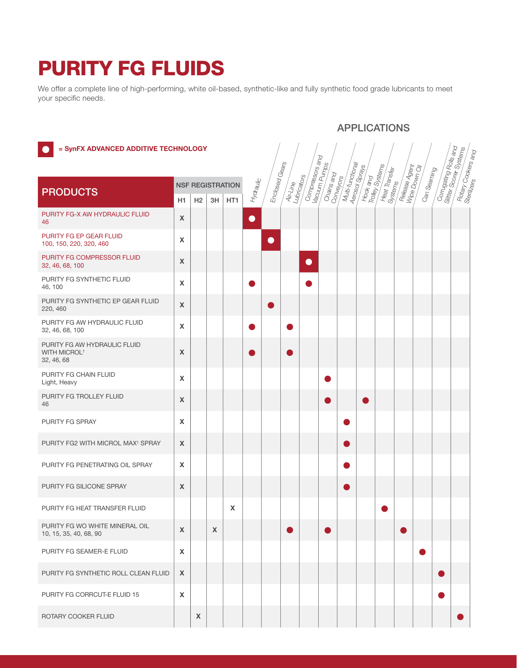## PURITY FG FLUIDS

We offer a complete line of high-performing, white oil-based, synthetic-like and fully synthetic food grade lubricants to meet your specific needs.

|                                                                              |                                 |    |              |                         |           |                |                         |                                            |            |                  |                             | <b>APPLICATIONS</b>      |               |             |                                             |                                               |  |
|------------------------------------------------------------------------------|---------------------------------|----|--------------|-------------------------|-----------|----------------|-------------------------|--------------------------------------------|------------|------------------|-----------------------------|--------------------------|---------------|-------------|---------------------------------------------|-----------------------------------------------|--|
| = SynFX ADVANCED ADDITIVE TECHNOLOGY                                         |                                 |    |              |                         |           | Enclosed Gears |                         | Compressors<br>Pacuum Pumps<br>Couum Pumps |            | Multi-functional | Hook and<br>Trolley Systems |                          |               |             | Corrugating Rolls<br>Siliter Scorer Systems | Rotary Cookers an <sub>d</sub><br>Sterilizere |  |
| <b>PRODUCTS</b>                                                              |                                 |    |              | <b>NSF REGISTRATION</b> | Mydraulic |                | Lubricators<br>Air-Line |                                            | Chains and | Conveyors        |                             | Heat Transfer<br>Systems | Release Agent | Can Seaming |                                             |                                               |  |
| PURITY FG-X AW HYDRAULIC FLUID<br>46                                         | H1<br>$\boldsymbol{\mathsf{X}}$ | H2 | 3H           | HT1                     | $\bullet$ |                |                         |                                            |            |                  |                             |                          |               |             |                                             |                                               |  |
| PURITY FG EP GEAR FLUID<br>100, 150, 220, 320, 460                           | X                               |    |              |                         |           | $\bullet$      |                         |                                            |            |                  |                             |                          |               |             |                                             |                                               |  |
| PURITY FG COMPRESSOR FLUID<br>32, 46, 68, 100                                | $\pmb{\chi}$                    |    |              |                         |           |                |                         | $\bullet$                                  |            |                  |                             |                          |               |             |                                             |                                               |  |
| PURITY FG SYNTHETIC FLUID<br>46, 100                                         | X                               |    |              |                         |           |                |                         |                                            |            |                  |                             |                          |               |             |                                             |                                               |  |
| PURITY FG SYNTHETIC EP GEAR FLUID<br>220, 460                                | $\boldsymbol{\mathsf{X}}$       |    |              |                         |           |                |                         |                                            |            |                  |                             |                          |               |             |                                             |                                               |  |
| PURITY FG AW HYDRAULIC FLUID<br>32, 46, 68, 100                              | $\pmb{\times}$                  |    |              |                         |           |                |                         |                                            |            |                  |                             |                          |               |             |                                             |                                               |  |
| PURITY FG AW HYDRAULIC FLUID<br><b>WITH MICROL<sup>†</sup></b><br>32, 46, 68 | X                               |    |              |                         |           |                |                         |                                            |            |                  |                             |                          |               |             |                                             |                                               |  |
| PURITY FG CHAIN FLUID<br>Light, Heavy                                        | $\pmb{\times}$                  |    |              |                         |           |                |                         |                                            |            |                  |                             |                          |               |             |                                             |                                               |  |
| PURITY FG TROLLEY FLUID<br>46                                                | $\pmb{\times}$                  |    |              |                         |           |                |                         |                                            |            |                  |                             |                          |               |             |                                             |                                               |  |
| PURITY FG SPRAY                                                              | $\boldsymbol{\mathsf{X}}$       |    |              |                         |           |                |                         |                                            |            |                  |                             |                          |               |             |                                             |                                               |  |
| PURITY FG2 WITH MICROL MAX <sup>†</sup> SPRAY                                | $\boldsymbol{\mathsf{X}}$       |    |              |                         |           |                |                         |                                            |            | O                |                             |                          |               |             |                                             |                                               |  |
| PURITY FG PENETRATING OIL SPRAY                                              | X                               |    |              |                         |           |                |                         |                                            |            | b.               |                             |                          |               |             |                                             |                                               |  |
| PURITY FG SILICONE SPRAY                                                     | $\boldsymbol{\mathsf{X}}$       |    |              |                         |           |                |                         |                                            |            | r.               |                             |                          |               |             |                                             |                                               |  |
| PURITY FG HEAT TRANSFER FLUID                                                |                                 |    |              | X                       |           |                |                         |                                            |            |                  |                             |                          |               |             |                                             |                                               |  |
| PURITY FG WO WHITE MINERAL OIL<br>10, 15, 35, 40, 68, 90                     | $\mathsf{x}$                    |    | $\mathsf{X}$ |                         |           |                |                         |                                            |            |                  |                             |                          |               |             |                                             |                                               |  |
| PURITY FG SEAMER-E FLUID                                                     | $\mathsf{X}$                    |    |              |                         |           |                |                         |                                            |            |                  |                             |                          |               | e e         |                                             |                                               |  |
| PURITY FG SYNTHETIC ROLL CLEAN FLUID                                         | $\boldsymbol{X}$                |    |              |                         |           |                |                         |                                            |            |                  |                             |                          |               |             |                                             |                                               |  |
| PURITY FG CORRCUT-E FLUID 15                                                 | $\boldsymbol{\mathsf{X}}$       |    |              |                         |           |                |                         |                                            |            |                  |                             |                          |               |             |                                             |                                               |  |
| ROTARY COOKER FLUID                                                          |                                 | X  |              |                         |           |                |                         |                                            |            |                  |                             |                          |               |             |                                             |                                               |  |